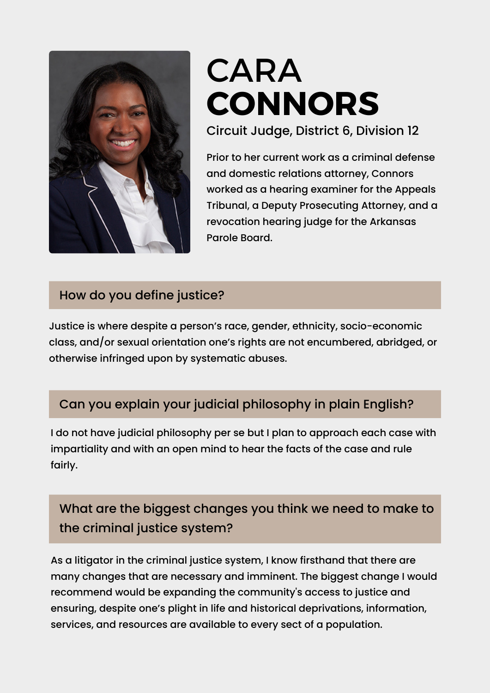

# CARA **CONNORS**

Circuit Judge, District 6, Division 12

Prior to her current work as a criminal defense and domestic relations attorney, Connors worked as a hearing examiner for the Appeals Tribunal, a Deputy Prosecuting Attorney, and a revocation hearing judge for the Arkansas Parole Board.

#### How do you define justice?

Justice is where despite a person's race, gender, ethnicity, socio-economic class, and/or sexual orientation one's rights are not encumbered, abridged, or otherwise infringed upon by systematic abuses.

#### Can you explain your judicial philosophy in plain English?

I do not have judicial philosophy per se but I plan to approach each case with impartiality and with an open mind to hear the facts of the case and rule fairly.

## What are the biggest changes you think we need to make to the criminal justice system?

As a litigator in the criminal justice system, I know firsthand that there are many changes that are necessary and imminent. The biggest change I would recommend would be expanding the community's access to justice and ensuring, despite one's plight in life and historical deprivations, information, services, and resources are available to every sect of a population.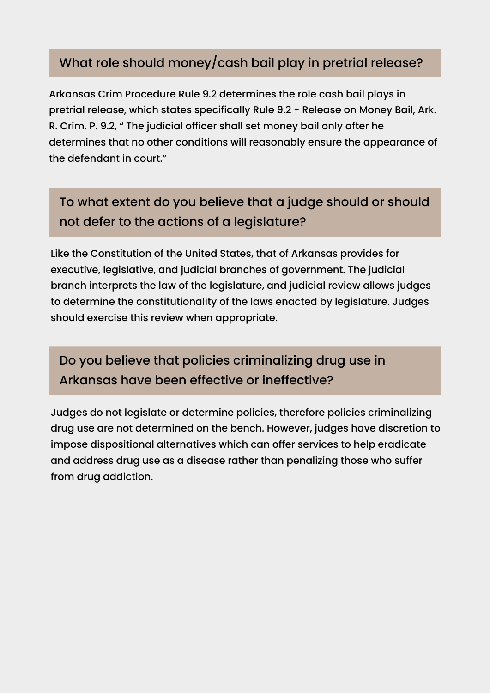#### What role should money/cash bail play in pretrial release?

Arkansas Crim Procedure Rule 9.2 determines the role cash bail plays in pretrial release, which states specifically Rule 9.2 - Release on Money Bail, Ark. R. Crim. P. 9.2, " The judicial officer shall set money bail only after he determines that no other conditions will reasonably ensure the appearance of the defendant in court."

# To what extent do you believe that a judge should or should not defer to the actions of a legislature?

Like the Constitution of the United States, that of Arkansas provides for executive, legislative, and judicial branches of government. The judicial branch interprets the law of the legislature, and judicial review allows judges to determine the constitutionality of the laws enacted by legislature. Judges should exercise this review when appropriate.

Do you believe that policies criminalizing drug use in Arkansas have been effective or ineffective?

Judges do not legislate or determine policies, therefore policies criminalizing drug use are not determined on the bench. However, judges have discretion to impose dispositional alternatives which can offer services to help eradicate and address drug use as a disease rather than penalizing those who suffer from drug addiction.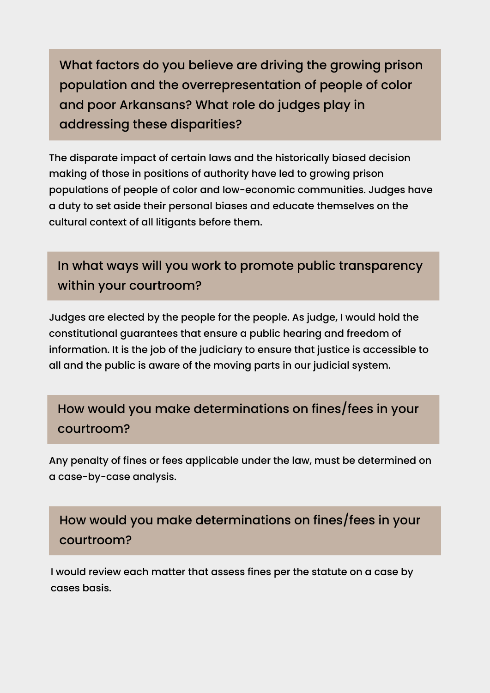What factors do you believe are driving the growing prison population and the overrepresentation of people of color and poor Arkansans? What role do judges play in addressing these disparities?

The disparate impact of certain laws and the historically biased decision making of those in positions of authority have led to growing prison populations of people of color and low-economic communities. Judges have a duty to set aside their personal biases and educate themselves on the cultural context of all litigants before them.

In what ways will you work to promote public transparency within your courtroom?

Judges are elected by the people for the people. As judge, I would hold the constitutional guarantees that ensure a public hearing and freedom of information. It is the job of the judiciary to ensure that justice is accessible to all and the public is aware of the moving parts in our judicial system.

## How would you make determinations on fines/fees in your courtroom?

Any penalty of fines or fees applicable under the law, must be determined on a case-by-case analysis.

## How would you make determinations on fines/fees in your courtroom?

I would review each matter that assess fines per the statute on a case by cases basis.